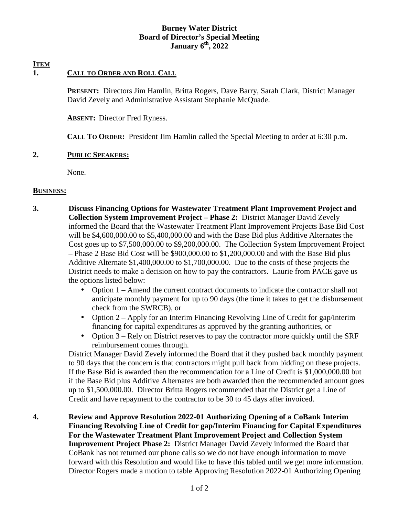### **Burney Water District Board of Director's Special Meeting January 6th, 2022**

# **ITEM**

# **1. CALL TO ORDER AND ROLL CALL**

**PRESENT:** Directors Jim Hamlin, Britta Rogers, Dave Barry, Sarah Clark, District Manager David Zevely and Administrative Assistant Stephanie McQuade.

**ABSENT:** Director Fred Ryness.

**CALL TO ORDER:** President Jim Hamlin called the Special Meeting to order at 6:30 p.m.

#### **2. PUBLIC SPEAKERS:**

None.

#### **BUSINESS:**

- **3. Discuss Financing Options for Wastewater Treatment Plant Improvement Project and Collection System Improvement Project – Phase 2:** District Manager David Zevely informed the Board that the Wastewater Treatment Plant Improvement Projects Base Bid Cost will be \$4,600,000.00 to \$5,400,000.00 and with the Base Bid plus Additive Alternates the Cost goes up to \$7,500,000.00 to \$9,200,000.00. The Collection System Improvement Project – Phase 2 Base Bid Cost will be \$900,000.00 to \$1,200,000.00 and with the Base Bid plus Additive Alternate \$1,400,000.00 to \$1,700,000.00. Due to the costs of these projects the District needs to make a decision on how to pay the contractors. Laurie from PACE gave us the options listed below:
	- Option 1 Amend the current contract documents to indicate the contractor shall not anticipate monthly payment for up to 90 days (the time it takes to get the disbursement check from the SWRCB), or
	- Option 2 Apply for an Interim Financing Revolving Line of Credit for gap/interim financing for capital expenditures as approved by the granting authorities, or
	- Option 3 Rely on District reserves to pay the contractor more quickly until the SRF reimbursement comes through.

District Manager David Zevely informed the Board that if they pushed back monthly payment to 90 days that the concern is that contractors might pull back from bidding on these projects. If the Base Bid is awarded then the recommendation for a Line of Credit is \$1,000,000.00 but if the Base Bid plus Additive Alternates are both awarded then the recommended amount goes up to \$1,500,000.00. Director Britta Rogers recommended that the District get a Line of Credit and have repayment to the contractor to be 30 to 45 days after invoiced.

**4. Review and Approve Resolution 2022-01 Authorizing Opening of a CoBank Interim Financing Revolving Line of Credit for gap/Interim Financing for Capital Expenditures For the Wastewater Treatment Plant Improvement Project and Collection System Improvement Project Phase 2:** District Manager David Zevely informed the Board that CoBank has not returned our phone calls so we do not have enough information to move forward with this Resolution and would like to have this tabled until we get more information. Director Rogers made a motion to table Approving Resolution 2022-01 Authorizing Opening